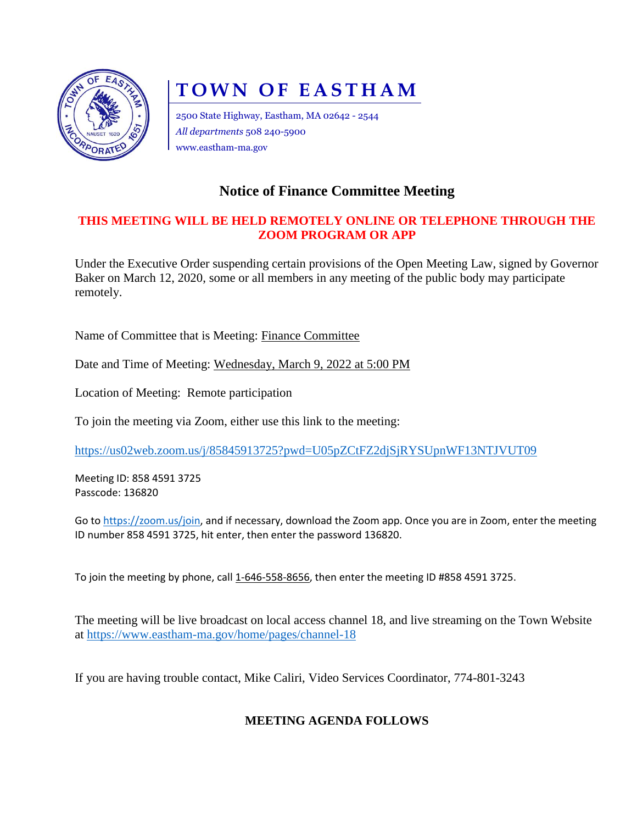

# **TOWN OF EASTHAM**

2500 State Highway, Eastham, MA 02642 - 2544 *All departments* 508 240-5900 www.eastham-ma.gov

## **Notice of Finance Committee Meeting**

#### **THIS MEETING WILL BE HELD REMOTELY ONLINE OR TELEPHONE THROUGH THE ZOOM PROGRAM OR APP**

Under the Executive Order suspending certain provisions of the Open Meeting Law, signed by Governor Baker on March 12, 2020, some or all members in any meeting of the public body may participate remotely.

Name of Committee that is Meeting: Finance Committee

Date and Time of Meeting: Wednesday, March 9, 2022 at 5:00 PM

Location of Meeting: Remote participation

To join the meeting via Zoom, either use this link to the meeting:

<https://us02web.zoom.us/j/85845913725?pwd=U05pZCtFZ2djSjRYSUpnWF13NTJVUT09>

Meeting ID: 858 4591 3725 Passcode: 136820

Go to [https://zoom.us/join,](https://zoom.us/join) and if necessary, download the Zoom app. Once you are in Zoom, enter the meeting ID number 858 4591 3725, hit enter, then enter the password 136820.

To join the meeting by phone, call 1-646-558-8656, then enter the meeting ID #858 4591 3725.

The meeting will be live broadcast on local access channel 18, and live streaming on the Town Website at<https://www.eastham-ma.gov/home/pages/channel-18>

If you are having trouble contact, Mike Caliri, Video Services Coordinator, 774-801-3243

### **MEETING AGENDA FOLLOWS**